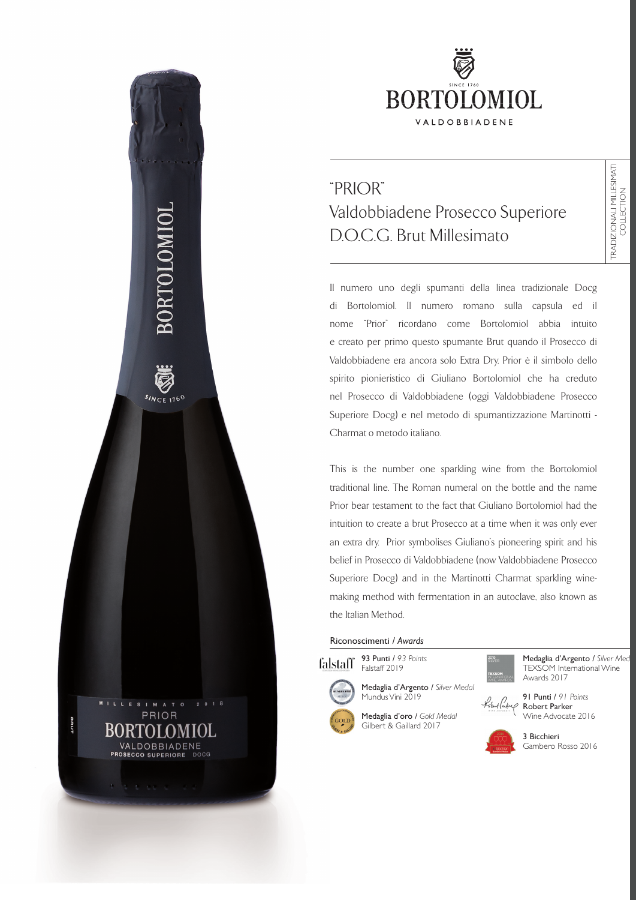

# "PRIOR" Valdobbiadene Prosecco Superiore D.O.C.G. Brut Millesimato

Il numero uno degli spumanti della linea tradizionale Docg di Bortolomiol. Il numero romano sulla capsula ed il nome "Prior" ricordano come Bortolomiol abbia intuito e creato per primo questo spumante Brut quando il Prosecco di Valdobbiadene era ancora solo Extra Dry. Prior è il simbolo dello spirito pionieristico di Giuliano Bortolomiol che ha creduto nel Prosecco di Valdobbiadene (oggi Valdobbiadene Prosecco Superiore Docg) e nel metodo di spumantizzazione Martinotti - Charmat o metodo italiano.

This is the number one sparkling wine from the Bortolomiol traditional line. The Roman numeral on the bottle and the name Prior bear testament to the fact that Giuliano Bortolomiol had the intuition to create a brut Prosecco at a time when it was only ever an extra dry. Prior symbolises Giuliano's pioneering spirit and his belief in Prosecco di Valdobbiadene (now Valdobbiadene Prosecco Superiore Docg) and in the Martinotti Charmat sparkling winemaking method with fermentation in an autoclave, also known as the Italian Method.

#### Riconoscimenti / *Awards*





BORTOLOMIO

V  $s_{NCE,1760}$ 

MILLESIM

BRU.

A T O PRIOR

DOCG

BORTOLOMIOL VALDOBBIADENE PROSECCO SUPERIORE

Medaglia d'oro / *Gold Medal* Gilbert & Gaillard 2017

Mundus Vini 2019

Medaglia d'Argento / *Silver Medal*

Medaglia d'Argento / Silver Med TEXSOM International Wine Awards 2017

TRADIZIONALI MILLESIMATI COLLECTION

FRADIZIONALI MILLESIMATI<br>COLLECTION

91 Punti / *91 Points* Lobut Pukup Robert Parker Wine Advocate 2016



3 Bicchieri Gambero Rosso 2016